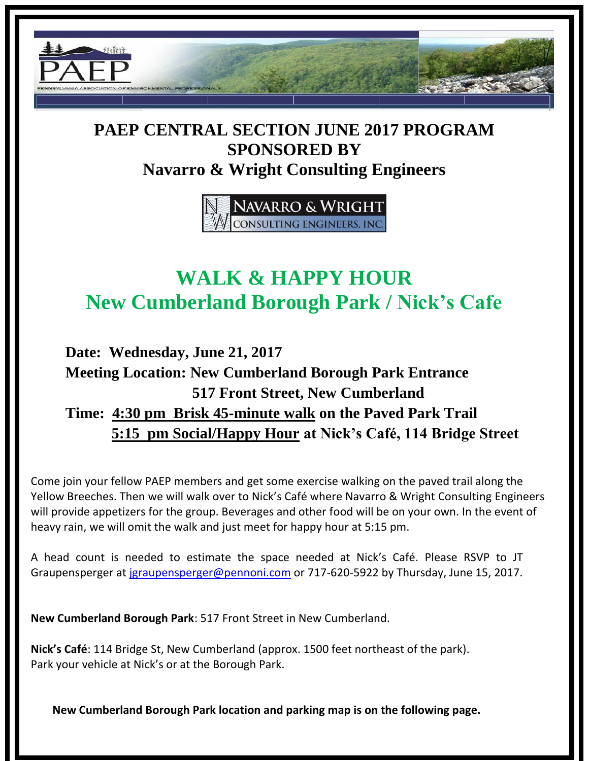

## **PAEP CENTRAL SECTION JUNE 2017 PROGRAM SPONSORED BY Navarro & Wright Consulting Engineers**

NAVARRO & WRIGHT **CONSULTING ENGINEERS, INC** 

## **WALK & HAPPY HOUR New Cumberland Borough Park / Nick's Cafe**

## **Date: Wednesday, June 21, 2017 Meeting Location: New Cumberland Borough Park Entrance 517 Front Street, New Cumberland Time: 4:30 pm Brisk 45-minute walk on the Paved Park Trail 5:15 pm Social/Happy Hour at Nick's Café, 114 Bridge Street**

Come join your fellow PAEP members and get some exercise walking on the paved trail along the Yellow Breeches. Then we will walk over to Nick's Café where Navarro & Wright Consulting Engineers will provide appetizers for the group. Beverages and other food will be on your own. In the event of heavy rain, we will omit the walk and just meet for happy hour at 5:15 pm.

A head count is needed to estimate the space needed at Nick's Café. Please RSVP to JT Graupensperger at [jgraupensperger@pennoni.com](mailto:jgraupensperger@pennoni.com) or 717-620-5922 by Thursday, June 15, 2017.

**New Cumberland Borough Park**: 517 Front Street in New Cumberland.

**Nick's Café**: 114 Bridge St, New Cumberland (approx. 1500 feet northeast of the park). Park your vehicle at Nick's or at the Borough Park.

**New Cumberland Borough Park location and parking map is on the following page.**